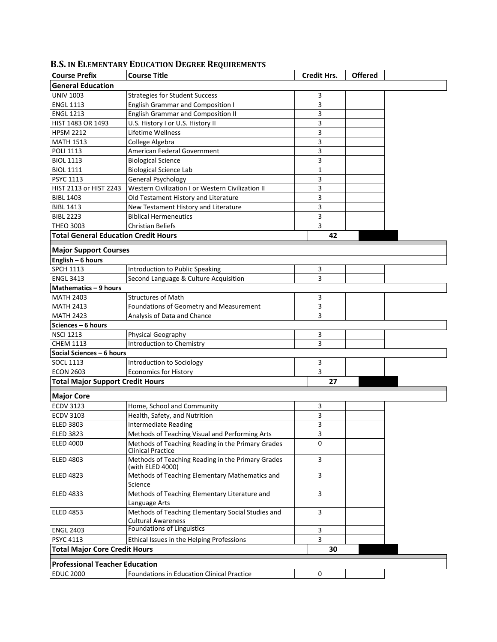## **Course Prefix Course Title Credit Hrs. Offered General Education** UNIV 1003 Strategies for Student Success 3 ENGL 1113 **English Grammar and Composition I** 3 ENGL 1213 English Grammar and Composition II 3 HIST 1483 OR 1493 U.S. History I or U.S. History II 3 HPSM 2212 Lifetime Wellness 2002 3 MATH 1513 College Algebra 3 POLI 1113 American Federal Government 3 BIOL 1113 Biological Science<br>BIOL 1111 Biological Science Lab 1 Biological Science Lab 1 PSYC 1113 General Psychology 3 HIST 2113 or HIST 2243 Western Civilization I or Western Civilization II 3 BIBL 1403 Old Testament History and Literature 3 BIBL 1413 New Testament History and Literature 1986 1413 BIBL 2223 Biblical Hermeneutics 3 THEO 3003 Christian Beliefs 3 Christian Beliefs 3 Christian Beliefs 3 Christian Beliefs 3 Christian Beliefs 3 Christian Beliefs 3 Christian Beliefs 3 Christian Beliefs 3 Christian Beliefs 3 Christian Beliefs 3 Christian Be **Total General Education Credit Hours 42 Major Support Courses English – 6 hours** SPCH 1113 Introduction to Public Speaking Theory 3 ENGL 3413 Second Language & Culture Acquisition **1996** Second Language & Culture Acquisition **Mathematics – 9 hours** MATH 2403 Structures of Math 3 MATH 2413 Foundations of Geometry and Measurement 3 MATH 2423 Analysis of Data and Chance **3** Analysis of Data and Chance **Sciences – 6 hours** NSCI 1213 **Physical Geography** 3 CHEM 1113 **Introduction to Chemistry CHEM 1113** 3 **Social Sciences – 6 hours** SOCL 1113 Introduction to Sociology 3<br>ECON 2603 Economics for History 3 Economics for History **2603 Example 2603 Total Major Support Credit Hours 27 Major Core** ECDV 3123 Home, School and Community 3 ECDV 3103 Health, Safety, and Nutrition 1996 and Nutrition 35 and 2011 11:00 and 36 and 36 and 36 and 36 and 36 and 36 and 36 and 36 and 36 and 36 and 36 and 36 and 36 and 36 and 36 and 36 and 36 and 36 and 36 and 36 and 3 ELED 3803 Intermediate Reading<br>ELED 3823 Methods of Teaching Visual and Performing Arts 3 Methods of Teaching Visual and Performing Arts 1982 ELED 4000 Methods of Teaching Reading in the Primary Grades Clinical Practice 0 ELED 4803 Methods of Teaching Reading in the Primary Grades (with ELED 4000) 3 ELED 4823 Methods of Teaching Elementary Mathematics and Science 3 ELED 4833 Methods of Teaching Elementary Literature and Language Arts 3 ELED 4853 Methods of Teaching Elementary Social Studies and Cultural Awareness 3 ENGL 2403 Foundations of Linguistics 3 PSYC 4113 **Ethical Issues in the Helping Professions** 3 **Total Major Core Credit Hours 30 Professional Teacher Education** EDUC 2000 Foundations in Education Clinical Practice 0

## **B.S. IN ELEMENTARY EDUCATION DEGREE REQUIREMENTS**